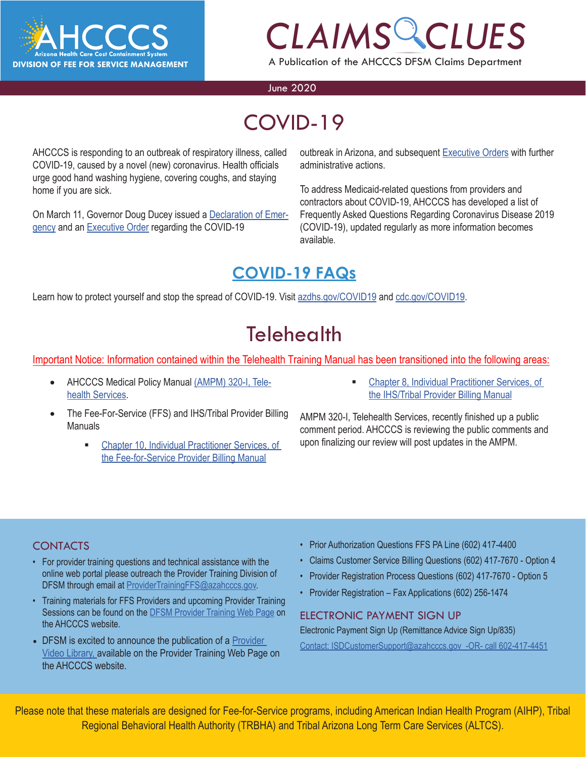

A Publication of the AHCCCS DFSM Claims Department

#### June 2020

# COVID-19

AHCCCS is responding to an outbreak of respiratory illness, called COVID-19, caused by a novel (new) coronavirus. Health officials urge good hand washing hygiene, covering coughs, and staying home if you are sick.

On March 11, Governor Doug Ducey issued a [Declaration of Emer](https://azgovernor.gov/sites/default/files/declaraton_0.pdf)[gency](https://azgovernor.gov/sites/default/files/declaraton_0.pdf) and an [Executive Order](https://azgovernor.gov/sites/default/files/eo_2020-07.pdf) regarding the COVID-19

*CLAIM[S C](https://azgovernor.gov/executive-orders)LUES* outbreak in Arizona, and subsequent Executive Orders with further administrative actions.

To address Medicaid-related questions from providers and contractors about COVID-19, AHCCCS has developed a list of Frequently Asked Questions Regarding Coronavirus Disease 2019 (COVID-19), updated regularly as more information becomes available.

### **[COVID-19 FAQs](https://azahcccs.gov/AHCCCS/AboutUs/covid19FAQ.html)**

Learn how to protect yourself and stop the spread of COVID-19. Visit [azdhs.gov/COVID19](https://azdhs.gov/covid19) and [cdc.gov/COVID19.](https://www.cdc.gov/covid19)

### **Telehealth**

Important Notice: Information contained within the Telehealth Training Manual has been transitioned into the following areas:

- AHCCCS Medical Policy Manual [\(AMPM\) 320-I, Tele](https://www.azahcccs.gov/shared/Downloads/MedicalPolicyManual/300/320-I.pdf)[health Services.](https://www.azahcccs.gov/shared/Downloads/MedicalPolicyManual/300/320-I.pdf)
- The Fee-For-Service (FFS) and IHS/Tribal Provider Billing Manuals
	- [Chapter 10, Individual Practitioner Services, of](https://www.azahcccs.gov/PlansProviders/Downloads/FFSProviderManual/FFS_Chap10.pdf) [the Fee-for-Service Provider Billing Manual](https://www.azahcccs.gov/PlansProviders/Downloads/FFSProviderManual/FFS_Chap10.pdf)
- [Chapter 8, Individual Practitioner Services, of](https://www.azahcccs.gov/PlansProviders/Downloads/IHS-TribalManual/IHS-Chap08IndivPractitionerSvcs.pdf) [the IHS/Tribal Provider Billing Manual](https://www.azahcccs.gov/PlansProviders/Downloads/IHS-TribalManual/IHS-Chap08IndivPractitionerSvcs.pdf)

AMPM 320-I, Telehealth Services, recently finished up a public comment period. AHCCCS is reviewing the public comments and upon finalizing our review will post updates in the AMPM.

#### **CONTACTS**

- For provider training questions and technical assistance with the online web portal please outreach the Provider Training Division of DFSM through email at [ProviderTrainingFFS@azahcccs.gov.](mailto:ProviderTrainingFFS%40azahcccs.gov?subject=)
- Training materials for FFS Providers and upcoming Provider Training Sessions can be found on the [DFSM Provider Training Web Page](https://www.azahcccs.gov/Resources/Training/DFSM_Training.html) on the AHCCCS website.
- DFSM is excited to announce the publication of a [Provider](https://www.azahcccs.gov/Resources/Training/DFSM_Training.html) [Video Library, a](https://www.azahcccs.gov/Resources/Training/DFSM_Training.html)vailable on the Provider Training Web Page on the AHCCCS website.
- Prior Authorization Questions FFS PA Line (602) 417-4400
- Claims Customer Service Billing Questions (602) 417-7670 Option 4
- Provider Registration Process Questions (602) 417-7670 Option 5
- Provider Registration Fax Applications (602) 256-1474

#### ELECTRONIC PAYMENT SIGN UP

Electronic Payment Sign Up (Remittance Advice Sign Up/835) Contact: ISDCustomerSupport@azahcccs.gov -OR- call 602-417-4451

Please note that these materials are designed for Fee-for-Service programs, including American Indian Health Program (AIHP), Tribal Regional Behavioral Health Authority (TRBHA) and Tribal Arizona Long Term Care Services (ALTCS).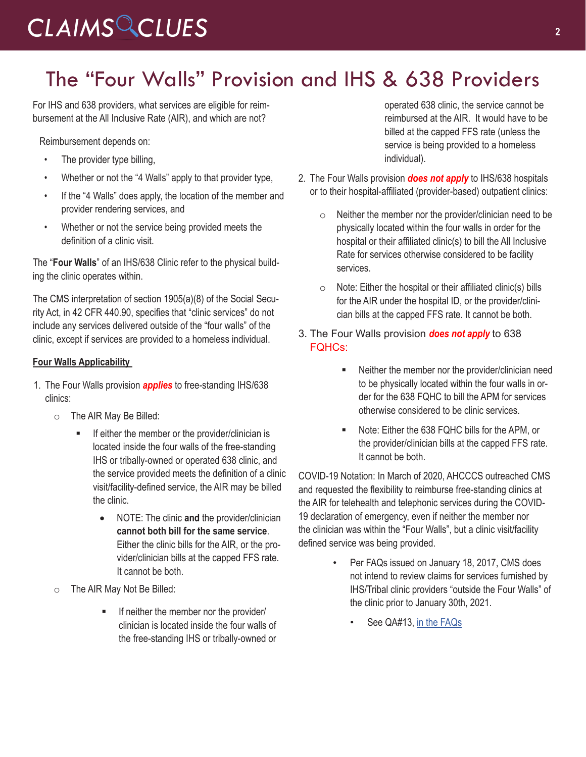# The "Four Walls" Provision and IHS & 638 Providers

For IHS and 638 providers, what services are eligible for reimbursement at the All Inclusive Rate (AIR), and which are not?

Reimbursement depends on:

- The provider type billing,
- Whether or not the "4 Walls" apply to that provider type,
- If the "4 Walls" does apply, the location of the member and provider rendering services, and
- Whether or not the service being provided meets the definition of a clinic visit.

The "**Four Walls**" of an IHS/638 Clinic refer to the physical building the clinic operates within.

The CMS interpretation of section 1905(a)(8) of the Social Security Act, in 42 CFR 440.90, specifies that "clinic services" do not include any services delivered outside of the "four walls" of the clinic, except if services are provided to a homeless individual.

#### **Four Walls Applicability**

- 1. The Four Walls provision *applies* to free-standing IHS/638 clinics:
	- o The AIR May Be Billed:
		- **If either the member or the provider/clinician is** located inside the four walls of the free-standing IHS or tribally-owned or operated 638 clinic, and the service provided meets the definition of a clinic visit/facility-defined service, the AIR may be billed the clinic.
			- NOTE: The clinic and the provider/clinician **cannot both bill for the same service**. Either the clinic bills for the AIR, or the provider/clinician bills at the capped FFS rate. It cannot be both.
	- o The AIR May Not Be Billed:
		- **If neither the member nor the provider/** clinician is located inside the four walls of the free-standing IHS or tribally-owned or

operated 638 clinic, the service cannot be reimbursed at the AIR. It would have to be billed at the capped FFS rate (unless the service is being provided to a homeless individual).

- 2. The Four Walls provision *does not apply* to IHS/638 hospitals or to their hospital-affiliated (provider-based) outpatient clinics:
	- $\circ$  Neither the member nor the provider/clinician need to be physically located within the four walls in order for the hospital or their affiliated clinic(s) to bill the All Inclusive Rate for services otherwise considered to be facility services.
	- $\circ$  Note: Either the hospital or their affiliated clinic(s) bills for the AIR under the hospital ID, or the provider/clinician bills at the capped FFS rate. It cannot be both.
- 3. The Four Walls provision *does not apply* to 638 FQHCs:
	- **Neither the member nor the provider/clinician need** to be physically located within the four walls in order for the 638 FQHC to bill the APM for services otherwise considered to be clinic services.
	- Note: Either the 638 FQHC bills for the APM, or the provider/clinician bills at the capped FFS rate. It cannot be both.

COVID-19 Notation: In March of 2020, AHCCCS outreached CMS and requested the flexibility to reimburse free-standing clinics at the AIR for telehealth and telephonic services during the COVID-19 declaration of emergency, even if neither the member nor the clinician was within the "Four Walls", but a clinic visit/facility defined service was being provided.

- Per FAQs issued on January 18, 2017, CMS does not intend to review claims for services furnished by IHS/Tribal clinic providers "outside the Four Walls" of the clinic prior to January 30th, 2021.
	- See QA#13, [in the FAQs](https://www.medicaid.gov/sites/default/files/federal-policy-guidance/downloads/faq11817.pdf)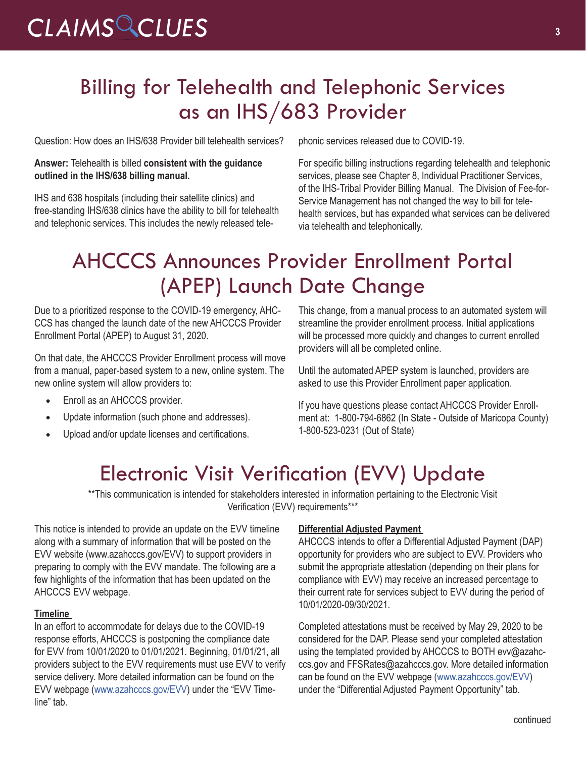# Billing for Telehealth and Telephonic Services as an IHS/683 Provider

Question: How does an IHS/638 Provider bill telehealth services?

#### **Answer:** Telehealth is billed **consistent with the guidance outlined in the IHS/638 billing manual.**

IHS and 638 hospitals (including their satellite clinics) and free-standing IHS/638 clinics have the ability to bill for telehealth and telephonic services. This includes the newly released telephonic services released due to COVID-19.

For specific billing instructions regarding telehealth and telephonic services, please see Chapter 8, Individual Practitioner Services, of the IHS-Tribal Provider Billing Manual. The Division of Fee-for-Service Management has not changed the way to bill for telehealth services, but has expanded what services can be delivered via telehealth and telephonically.

# AHCCCS Announces Provider Enrollment Portal (APEP) Launch Date Change

Due to a prioritized response to the COVID-19 emergency, AHC-CCS has changed the launch date of the new AHCCCS Provider Enrollment Portal (APEP) to August 31, 2020.

On that date, the AHCCCS Provider Enrollment process will move from a manual, paper-based system to a new, online system. The new online system will allow providers to:

- Enroll as an AHCCCS provider.
- Update information (such phone and addresses).
- Upload and/or update licenses and certifications.

This change, from a manual process to an automated system will streamline the provider enrollment process. Initial applications will be processed more quickly and changes to current enrolled providers will all be completed online.

Until the automated APEP system is launched, providers are asked to use this [Provider Enrollment paper application.](http://r20.rs6.net/tn.jsp?f=001sHeoF7QmugCdNGVA_f_S5-_sBv27b-LJQg8SgPCHIa71duR4pMl4PLSWlLuRm3MjfIqThXDcur5PM3fJGPobJLTkrpA4DdXkr_HcmwjmNZAg6iw8Ma1PpEH3Pa6BEmVdkotpbWt2iZP4dClEOi_o0A4RqYNTsYZozQpxuk_zZ5NU8vhoTFbj-dTXakAw11v1WrZ1TomL7hI=&c=Ddz5Czrfjrokks7kF5-0TkPpfhsXfWbcNLXxrp0Mz0Hhbc7RsrBHEA==&ch=3L3-1H4peNHKx8LMFbEfP9DyYyFvslJKNjNc3aL_HaO2vCbv0RVeDg==)

If you have questions please contact AHCCCS Provider Enrollment at: 1-800-794-6862 (In State - Outside of Maricopa County) 1-800-523-0231 (Out of State)

### Electronic Visit Verification (EVV) Update

\*\*This communication is intended for stakeholders interested in information pertaining to the Electronic Visit Verification (EVV) requirements\*\*\*

This notice is intended to provide an update on the EVV timeline along with a summary of information that will be posted on the EVV website (www.azahcccs.gov/EVV) to support providers in preparing to comply with the EVV mandate. The following are a few highlights of the information that has been updated on the AHCCCS EVV webpage.

#### **Timeline**

In an effort to accommodate for delays due to the COVID-19 response efforts, AHCCCS is postponing the compliance date for EVV from 10/01/2020 to 01/01/2021. Beginning, 01/01/21, all providers subject to the EVV requirements must use EVV to verify service delivery. More detailed information can be found on the EVV webpage ([www.azahcccs.gov/EVV](https://www.azahcccs.gov/AHCCCS/Initiatives/EVV/)) under the "EVV Timeline" tab.

#### **Differential Adjusted Payment**

AHCCCS intends to offer a Differential Adjusted Payment (DAP) opportunity for providers who are subject to EVV. Providers who submit the appropriate attestation (depending on their plans for compliance with EVV) may receive an increased percentage to their current rate for services subject to EVV during the period of 10/01/2020-09/30/2021.

Completed attestations must be received by May 29, 2020 to be considered for the DAP. Please send your completed attestation using the templated provided by AHCCCS to BOTH evv@azahcccs.gov and FFSRates@azahcccs.gov. More detailed information can be found on the EVV webpage ([www.azahcccs.gov/EVV\)](https://www.azahcccs.gov/AHCCCS/Initiatives/EVV/) under the "Differential Adjusted Payment Opportunity" tab.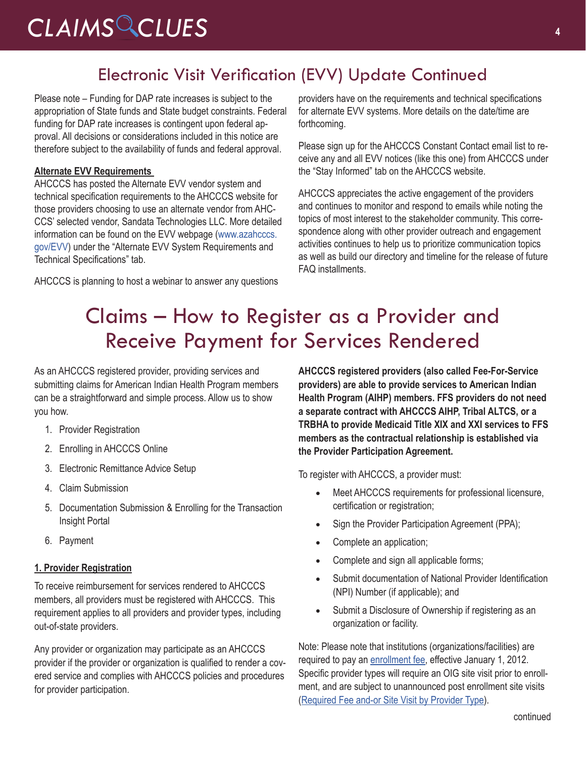### Electronic Visit Verification (EVV) Update Continued

Please note – Funding for DAP rate increases is subject to the appropriation of State funds and State budget constraints. Federal funding for DAP rate increases is contingent upon federal approval. All decisions or considerations included in this notice are therefore subject to the availability of funds and federal approval.

#### **Alternate EVV Requirements**

AHCCCS has posted the Alternate EVV vendor system and technical specification requirements to the AHCCCS website for those providers choosing to use an alternate vendor from AHC-CCS' selected vendor, Sandata Technologies LLC. More detailed information can be found on the EVV webpage [\(www.azahcccs.](https://www.azahcccs.gov/AHCCCS/Initiatives/EVV/) [gov/EVV](https://www.azahcccs.gov/AHCCCS/Initiatives/EVV/)) under the "Alternate EVV System Requirements and Technical Specifications" tab.

AHCCCS is planning to host a webinar to answer any questions

providers have on the requirements and technical specifications for alternate EVV systems. More details on the date/time are forthcoming.

Please sign up for the AHCCCS Constant Contact email list to receive any and all EVV notices (like this one) from AHCCCS under the "Stay Informed" tab on the AHCCCS website.

AHCCCS appreciates the active engagement of the providers and continues to monitor and respond to emails while noting the topics of most interest to the stakeholder community. This correspondence along with other provider outreach and engagement activities continues to help us to prioritize communication topics as well as build our directory and timeline for the release of future FAQ installments.

### Claims – How to Register as a Provider and Receive Payment for Services Rendered

As an AHCCCS registered provider, providing services and submitting claims for American Indian Health Program members can be a straightforward and simple process. Allow us to show you how.

- 1. Provider Registration
- 2. Enrolling in AHCCCS Online
- 3. Electronic Remittance Advice Setup
- 4. Claim Submission
- 5. Documentation Submission & Enrolling for the Transaction Insight Portal
- 6. Payment

#### **1. Provider Registration**

To receive reimbursement for services rendered to AHCCCS members, all providers must be registered with AHCCCS. This requirement applies to all providers and provider types, including out-of-state providers.

Any provider or organization may participate as an AHCCCS provider if the provider or organization is qualified to render a covered service and complies with AHCCCS policies and procedures for provider participation.

**AHCCCS registered providers (also called Fee-For-Service providers) are able to provide services to American Indian Health Program (AIHP) members. FFS providers do not need a separate contract with AHCCCS AIHP, Tribal ALTCS, or a TRBHA to provide Medicaid Title XIX and XXI services to FFS members as the contractual relationship is established via the Provider Participation Agreement.** 

To register with AHCCCS, a provider must:

- Meet AHCCCS requirements for professional licensure, certification or registration;
- Sign the Provider Participation Agreement (PPA);
- Complete an application;
- Complete and sign all applicable forms;
- Submit documentation of National Provider Identification (NPI) Number (if applicable); and
- Submit a Disclosure of Ownership if registering as an organization or facility.

Note: Please note that institutions (organizations/facilities) are required to pay an [enrollment fee](https://www.azahcccs.gov/PlansProviders/NewProviders/EnrollmentFee/), effective January 1, 2012. Specific provider types will require an OIG site visit prior to enrollment, and are subject to unannounced post enrollment site visits [\(Required Fee and-or Site Visit by Provider Type\)](https://www.azahcccs.gov/PlansProviders/Downloads/RequiredFeeandorSiteVisitbyP.pdf).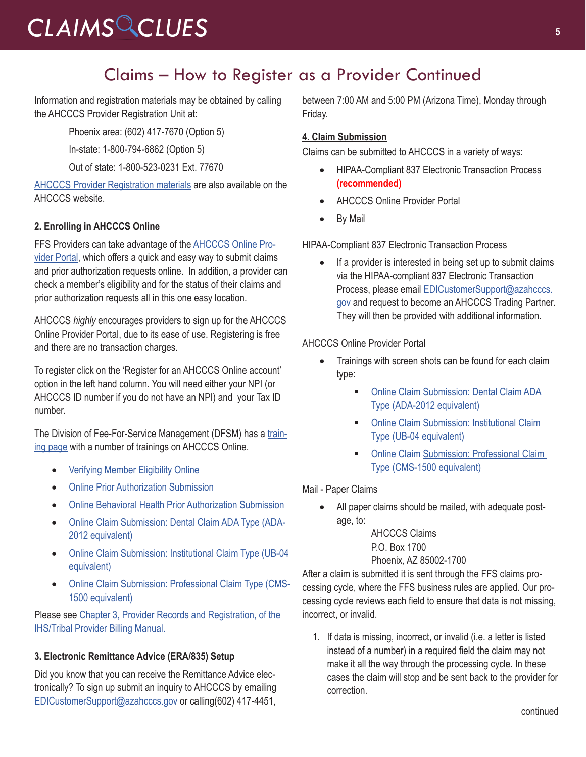### Claims – How to Register as a Provider Continued

Information and registration materials may be obtained by calling the AHCCCS Provider Registration Unit at:

Phoenix area: (602) 417-7670 (Option 5)

In-state: 1-800-794-6862 (Option 5)

Out of state: 1-800-523-0231 Ext. 77670

[AHCCCS Provider Registration materials](https://www.azahcccs.gov/PlansProviders/NewProviders/packet.html) are also available on the AHCCCS website.

#### **2. Enrolling in AHCCCS Online**

FFS Providers can take advantage of the [AHCCCS Online Pro](https://azweb.statemedicaid.us/Account/Login.aspx?ReturnUrl=%2f)[vider Portal,](https://azweb.statemedicaid.us/Account/Login.aspx?ReturnUrl=%2f) which offers a quick and easy way to submit claims and prior authorization requests online. In addition, a provider can check a member's eligibility and for the status of their claims and prior authorization requests all in this one easy location.

AHCCCS *highly* encourages providers to sign up for the AHCCCS Online Provider Portal, due to its ease of use. Registering is free and there are no transaction charges.

To register click on the 'Register for an AHCCCS Online account' option in the left hand column. You will need either your NPI (or AHCCCS ID number if you do not have an NPI) and your Tax ID number.

The Division of Fee-For-Service Management (DFSM) has a [train](https://www.azahcccs.gov/Resources/DFSMTraining/index.html)[ing page](https://www.azahcccs.gov/Resources/DFSMTraining/index.html) with a number of trainings on AHCCCS Online.

- • [Verifying Member Eligibility Online](https://www.azahcccs.gov/Resources/Downloads/DFMSTraining/2018/MemberEligibility.pdf)
- **[Online Prior Authorization Submission](https://www.azahcccs.gov/Resources/Downloads/DFMSTraining/2018/PATraining_Final.pdf)**
- **[Online Behavioral Health Prior Authorization Submission](https://www.azahcccs.gov/Resources/Downloads/DFMSTraining/2018/OnlineBehavioralHealth_PA_Update_.pdf)**
- [Online Claim Submission: Dental Claim ADA Type \(ADA-](https://www.azahcccs.gov/Resources/Downloads/DFMSTraining/2018/DentalTraining.pdf)[2012 equivalent\)](https://www.azahcccs.gov/Resources/Downloads/DFMSTraining/2018/DentalTraining.pdf)
- Online Claim Submission: Institutional Claim Type (UB-04 [equivalent\)](https://www.azahcccs.gov/Resources/Downloads/DFMSTraining/2018/OnlineClaimSubmissionUBFinal_02222018.pdf)
- • [Online Claim Submission: Professional Claim Type \(CMS-](https://www.azahcccs.gov/Resources/Downloads/DFMSTraining/2018/OnlineClaimSubmission.pdf%20)[1500 equivalent\)](https://www.azahcccs.gov/Resources/Downloads/DFMSTraining/2018/OnlineClaimSubmission.pdf%20)

Please see [Chapter 3, Provider Records and Registration, of the](https://www.azahcccs.gov/PlansProviders/Downloads/IHS-TribalManual/IHS-Chap03ProvReg.pdf)  [IHS/Tribal Provider Billing Manual.](https://www.azahcccs.gov/PlansProviders/Downloads/IHS-TribalManual/IHS-Chap03ProvReg.pdf)

#### **3. Electronic Remittance Advice (ERA/835) Setup**

Did you know that you can receive the Remittance Advice electronically? To sign up submit an inquiry to AHCCCS by emailing [EDICustomerSupport@azahcccs.gov](mailto:EDICustomerSupport@azahcccs.gov) or calling(602) 417-4451,

between 7:00 AM and 5:00 PM (Arizona Time), Monday through Friday.

#### **4. Claim Submission**

Claims can be submitted to AHCCCS in a variety of ways:

- HIPAA-Compliant 837 Electronic Transaction Process **(recommended)**
- **AHCCCS Online Provider Portal**
- By Mail

HIPAA-Compliant 837 Electronic Transaction Process

If a provider is interested in being set up to submit claims via the HIPAA-compliant 837 Electronic Transaction Process, please email [EDICustomerSupport@azahcccs.](mailto:EDICustomerSupport@azahcccs.gov) [gov](mailto:EDICustomerSupport@azahcccs.gov) and request to become an AHCCCS Trading Partner. They will then be provided with additional information.

#### AHCCCS Online Provider Portal

- Trainings with screen shots can be found for each claim type:
	- **Online Claim Submission: Dental Claim ADA** [Type \(ADA-2012 equivalent\)](https://www.azahcccs.gov/Resources/Downloads/DFMSTraining/2018/DentalTraining.pdf)
	- **Online Claim Submission: Institutional Claim** [Type \(UB-04 equivalent\)](https://www.azahcccs.gov/Resources/Downloads/DFMSTraining/2018/OnlineClaimSubmissionUBFinal_02222018.pdf)
	- **Online Claim Submission: Professional Claim** [Type \(CMS-1500 equivalent\)](https://www.azahcccs.gov/Resources/Downloads/DFMSTraining/2018/OnlineClaimSubmission.pdf%20)

Mail - Paper Claims

All paper claims should be mailed, with adequate postage, to:

> AHCCCS Claims P.O. Box 1700 Phoenix, AZ 85002-1700

After a claim is submitted it is sent through the FFS claims processing cycle, where the FFS business rules are applied. Our processing cycle reviews each field to ensure that data is not missing, incorrect, or invalid.

1. If data is missing, incorrect, or invalid (i.e. a letter is listed instead of a number) in a required field the claim may not make it all the way through the processing cycle. In these cases the claim will stop and be sent back to the provider for correction.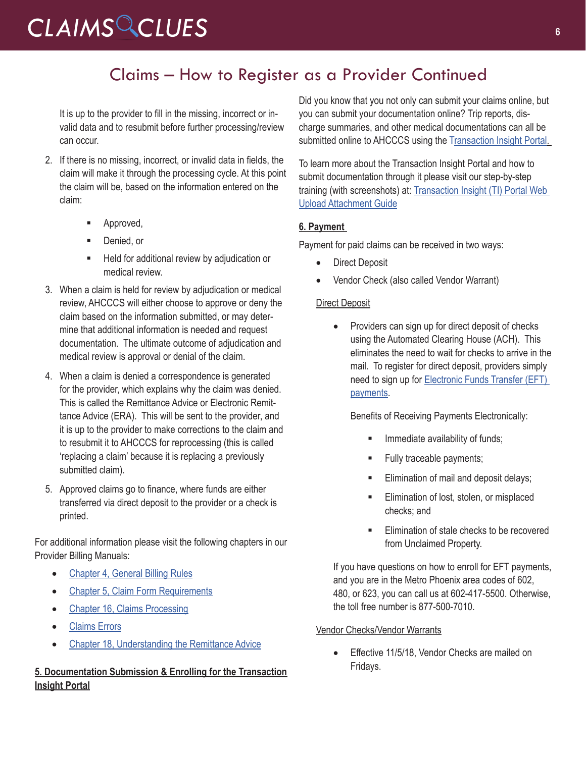### Claims – How to Register as a Provider Continued

It is up to the provider to fill in the missing, incorrect or invalid data and to resubmit before further processing/review can occur.

- 2. If there is no missing, incorrect, or invalid data in fields, the claim will make it through the processing cycle. At this point the claim will be, based on the information entered on the claim:
	- **Approved,**
	- Denied, or
	- **Held for additional review by adjudication or** medical review.
- 3. When a claim is held for review by adjudication or medical review, AHCCCS will either choose to approve or deny the claim based on the information submitted, or may determine that additional information is needed and request documentation. The ultimate outcome of adjudication and medical review is approval or denial of the claim.
- 4. When a claim is denied a correspondence is generated for the provider, which explains why the claim was denied. This is called the Remittance Advice or Electronic Remittance Advice (ERA). This will be sent to the provider, and it is up to the provider to make corrections to the claim and to resubmit it to AHCCCS for reprocessing (this is called 'replacing a claim' because it is replacing a previously submitted claim).
- 5. Approved claims go to finance, where funds are either transferred via direct deposit to the provider or a check is printed.

For additional information please visit the following chapters in our Provider Billing Manuals:

- [Chapter 4, General Billing Rules](https://www.azahcccs.gov/PlansProviders/Downloads/IHS-TribalManual/IHS-Chap04GenBillRules.pdf)
- [Chapter 5, Claim Form Requirements](https://www.azahcccs.gov/PlansProviders/Downloads/IHS-TribalManual/IHS-Chap05ClmFormRequire.pdf)
- [Chapter 16, Claims Processing](https://www.azahcccs.gov/PlansProviders/Downloads/IHS-TribalManual/IHS-Chap16ClmsProcess.pdf)
- • [Claims Errors](https://www.azahcccs.gov/PlansProviders/Downloads/IHS-TribalManual/IHS-Chap17ClaimErrors.pdf)
- [Chapter 18, Understanding the Remittance Advice](https://www.azahcccs.gov/PlansProviders/Downloads/IHS-TribalManual/IHS-Chap18Remits.pdf)

#### **5. Documentation Submission & Enrolling for the Transaction Insight Portal**

Did you know that you not only can submit your claims online, but you can submit your documentation online? Trip reports, discharge summaries, and other medical documentations can all be submitted online to AHCCCS using the [Transaction Insight Portal.](https://tiwebprd.statemedicaid.us)

To learn more about the Transaction Insight Portal and how to submit documentation through it please visit our step-by-step training (with screenshots) at: [Transaction Insight \(TI\) Portal Web](https://www.azahcccs.gov/Resources/Downloads/DFMSTraining/2018/TransactionInsight_TI_PortalWebUploadAttachmentGuide.pdf)  [Upload Attachment Guide](https://www.azahcccs.gov/Resources/Downloads/DFMSTraining/2018/TransactionInsight_TI_PortalWebUploadAttachmentGuide.pdf)

#### **6. Payment**

Payment for paid claims can be received in two ways:

- Direct Deposit
- Vendor Check (also called Vendor Warrant)

#### Direct Deposit

Providers can sign up for direct deposit of checks using the Automated Clearing House (ACH). This eliminates the need to wait for checks to arrive in the mail. To register for direct deposit, providers simply need to sign up for [Electronic Funds Transfer \(EFT\)](https://www.azahcccs.gov/PlansProviders/RatesAndBilling/FFS/directdeposit.html)  [payments](https://www.azahcccs.gov/PlansProviders/RatesAndBilling/FFS/directdeposit.html).

Benefits of Receiving Payments Electronically:

- Immediate availability of funds;
- Fully traceable payments;
- Elimination of mail and deposit delays;
- Elimination of lost, stolen, or misplaced checks; and
- Elimination of stale checks to be recovered from Unclaimed Property.

If you have questions on how to enroll for EFT payments, and you are in the Metro Phoenix area codes of 602, 480, or 623, you can call us at 602-417-5500. Otherwise, the toll free number is 877-500-7010.

#### Vendor Checks/Vendor Warrants

• Effective 11/5/18, Vendor Checks are mailed on Fridays.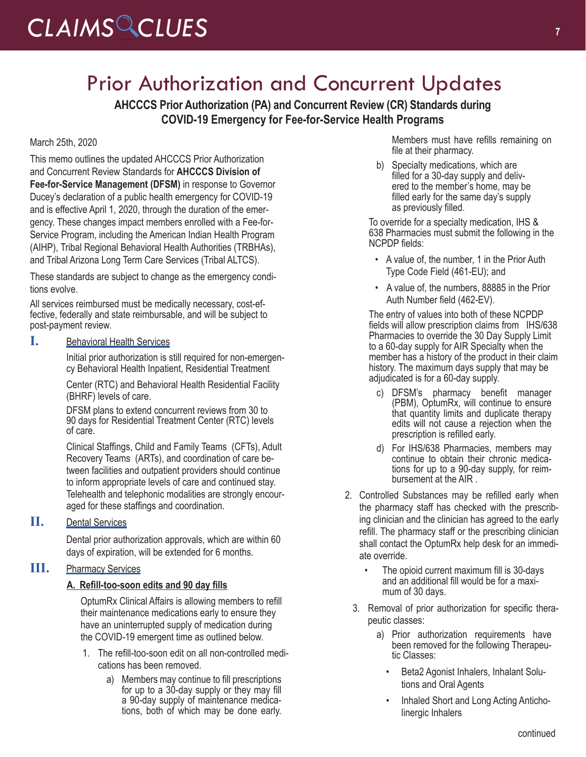## Prior Authorization and Concurrent Updates

**AHCCCS Prior Authorization (PA) and Concurrent Review (CR) Standards during COVID-19 Emergency for Fee-for-Service Health Programs**

#### March 25th, 2020

This memo outlines the updated AHCCCS Prior Authorization and Concurrent Review Standards for **AHCCCS Division of Fee-for-Service Management (DFSM)** in response to Governor Ducey's declaration of a public health emergency for COVID-19 and is effective April 1, 2020, through the duration of the emergency. These changes impact members enrolled with a Fee-for-Service Program, including the American Indian Health Program (AIHP), Tribal Regional Behavioral Health Authorities (TRBHAs), and Tribal Arizona Long Term Care Services (Tribal ALTCS).

These standards are subject to change as the emergency conditions evolve.

All services reimbursed must be medically necessary, cost-effective, federally and state reimbursable, and will be subject to post-payment review.

#### **I.** Behavioral Health Services

Initial prior authorization is still required for non-emergency Behavioral Health Inpatient, Residential Treatment

Center (RTC) and Behavioral Health Residential Facility (BHRF) levels of care.

DFSM plans to extend concurrent reviews from 30 to 90 days for Residential Treatment Center (RTC) levels of care.

Clinical Staffings, Child and Family Teams (CFTs), Adult Recovery Teams (ARTs), and coordination of care between facilities and outpatient providers should continue to inform appropriate levels of care and continued stay. Telehealth and telephonic modalities are strongly encouraged for these staffings and coordination.

#### **II.** Dental Services

Dental prior authorization approvals, which are within 60 days of expiration, will be extended for 6 months.

#### **III.** Pharmacy Services

#### **A. Refill-too-soon edits and 90 day fills**

OptumRx Clinical Affairs is allowing members to refill their maintenance medications early to ensure they have an uninterrupted supply of medication during the COVID-19 emergent time as outlined below.

- 1. The refill-too-soon edit on all non-controlled medications has been removed.
	- a) Members may continue to fill prescriptions for up to a 30-day supply or they may fill tions, both of which may be done early.

Members must have refills remaining on file at their pharmacy.

b) Specialty medications, which are filled for a 30-day supply and delivered to the member's home, may be filled early for the same day's supply as previously filled.

To override for a specialty medication, IHS & 638 Pharmacies must submit the following in the NCPDP fields:

- A value of, the number, 1 in the Prior Auth Type Code Field (461-EU); and
- A value of, the numbers, 88885 in the Prior Auth Number field (462-EV).

The entry of values into both of these NCPDP fields will allow prescription claims from IHS/638 Pharmacies to override the 30 Day Supply Limit to a 60-day supply for AIR Specialty when the member has a history of the product in their claim history. The maximum days supply that may be adjudicated is for a 60-day supply.

- c) DFSM's pharmacy benefit manager (PBM), OptumRx, will continue to ensure that quantity limits and duplicate therapy edits will not cause a rejection when the prescription is refilled early.
- d) For IHS/638 Pharmacies, members may tions for up to a 90-day supply, for reim-<br>bursement at the AIR .
- 2. Controlled Substances may be refilled early when the pharmacy staff has checked with the prescribing clinician and the clinician has agreed to the early refill. The pharmacy staff or the prescribing clinician shall contact the OptumRx help desk for an immediate override.
	- The opioid current maximum fill is 30-days and an additional fill would be for a maximum of 30 days.
	- 3. Removal of prior authorization for specific therapeutic classes:
		- a) Prior authorization requirements have been removed for the following Therapeu-<br>tic Classes:
			- Beta2 Agonist Inhalers, Inhalant Solutions and Oral Agents
			- Inhaled Short and Long Acting Anticholinergic Inhalers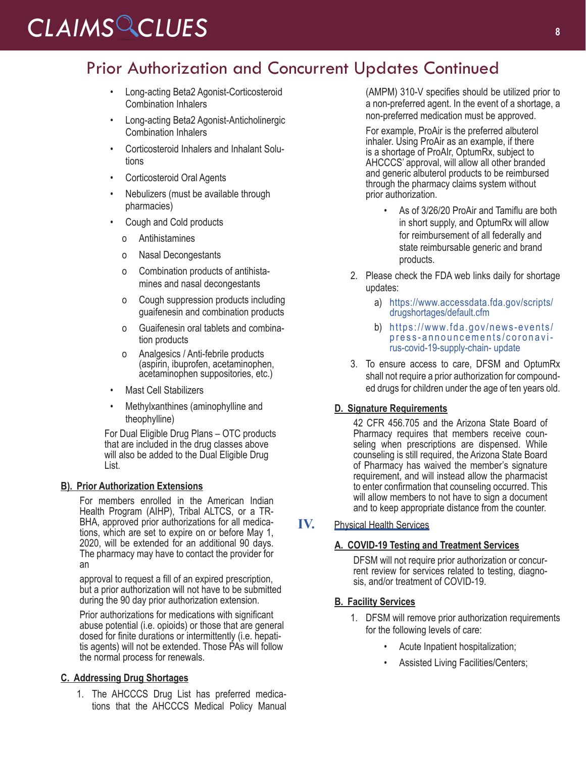### Prior Authorization and Concurrent Updates Continued

- Long-acting Beta2 Agonist-Corticosteroid Combination Inhalers
- Long-acting Beta2 Agonist-Anticholinergic Combination Inhalers
- Corticosteroid Inhalers and Inhalant Solutions
- Corticosteroid Oral Agents
- Nebulizers (must be available through pharmacies)
- Cough and Cold products
	- o Antihistamines
	- o Nasal Decongestants
	- o Combination products of antihistamines and nasal decongestants
	- o Cough suppression products including guaifenesin and combination products
	- o Guaifenesin oral tablets and combination products
	- o Analgesics / Anti-febrile products (aspirin, ibuprofen, acetaminophen, acetaminophen suppositories, etc.)
- Mast Cell Stabilizers
- Methylxanthines (aminophylline and theophylline)

For Dual Eligible Drug Plans – OTC products that are included in the drug classes above will also be added to the Dual Eligible Drug List.

#### **B). Prior Authorization Extensions**

For members enrolled in the American Indian Health Program (AIHP), Tribal ALTCS, or a TR-BHA, approved prior authorizations for all medications, which are set to expire on or before May 1, 2020, will be extended for an additional 90 days. The pharmacy may have to contact the provider for an

approval to request a fill of an expired prescription, but a prior authorization will not have to be submitted during the 90 day prior authorization extension.

Prior authorizations for medications with significant abuse potential (i.e. opioids) or those that are general dosed for finite durations or intermittently (i.e. hepatitis agents) will not be extended. Those PAs will follow the normal process for renewals.

#### **C. Addressing Drug Shortages**

1. The AHCCCS Drug List has preferred medications that the AHCCCS Medical Policy Manual (AMPM) 310-V specifies should be utilized prior to a non-preferred agent. In the event of a shortage, a non-preferred medication must be approved.

For example, ProAir is the preferred albuterol inhaler. Using ProAir as an example, if there is a shortage of ProAIr, OptumRx, subject to AHCCCS' approval, will allow all other branded and generic albuterol products to be reimbursed through the pharmacy claims system without prior authorization.

- As of 3/26/20 ProAir and Tamiflu are both in short supply, and OptumRx will allow for reimbursement of all federally and state reimbursable generic and brand products.
- 2. Please check the FDA web links daily for shortage updates:
	- a) [https://www.accessdata.fda.gov/scripts/](https://www.accessdata.fda.gov/scripts/drugshortages/default.cfm) [drugshortages/default.cfm](https://www.accessdata.fda.gov/scripts/drugshortages/default.cfm)
	- b) [https://www.fda.gov/news-events/](https://www.fda.gov/news-events/press-announcements/coronavirus-covid-19-supply-chain-update) [press-announcements/coronavi-](https://www.fda.gov/news-events/press-announcements/coronavirus-covid-19-supply-chain-update) [rus-covid-19-supply-chain- update](https://www.fda.gov/news-events/press-announcements/coronavirus-covid-19-supply-chain-update)
- 3. To ensure access to care, DFSM and OptumRx shall not require a prior authorization for compounded drugs for children under the age of ten years old.

#### **D. Signature Requirements**

42 CFR 456.705 and the Arizona State Board of Pharmacy requires that members receive counseling when prescriptions are dispensed. While counseling is still required, the Arizona State Board of Pharmacy has waived the member's signature requirement, and will instead allow the pharmacist to enter confirmation that counseling occurred. This will allow members to not have to sign a document and to keep appropriate distance from the counter.

#### **IV.** Physical Health Services

#### **A. COVID-19 Testing and Treatment Services**

DFSM will not require prior authorization or concurrent review for services related to testing, diagnosis, and/or treatment of COVID-19.

#### **B. Facility Services**

- 1. DFSM will remove prior authorization requirements for the following levels of care:
	- Acute Inpatient hospitalization;
	- Assisted Living Facilities/Centers;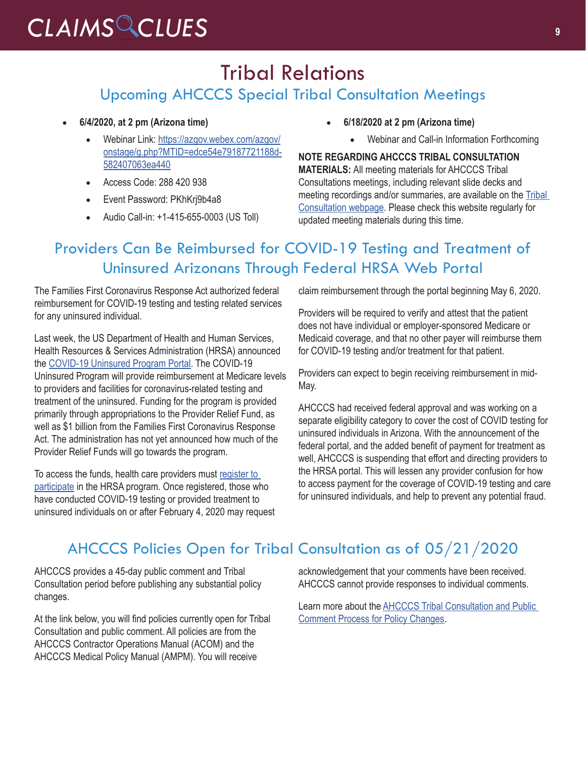### Tribal Relations Upcoming AHCCCS Special Tribal Consultation Meetings

- • **6/4/2020, at 2 pm (Arizona time)**
	- Webinar Link: [https://azgov.webex.com/azgov/](http://r20.rs6.net/tn.jsp?f=001hVFAX8UQi_cbvcdwMtqt4RJW8YqNXFIJ4xsIHeeSVENPDYUhQuwKgun5akxEX3bKIK0pPuMRNs9yIsfohhlDvHfZTOigE722rGb9fY5pg-5Lw8_sqi6ignZNZVAy3f8LZTQMfox62-sj8LHsfkQfmp0z_C6dwnT-RQfQBnhqjg_d992nQp1SyJOUauCNkOaa78N6HHLmuCtB84wL--OF7COKK8pb4GXqcacITDTbPDo=&c=K0qO2A3MvZQtOsrCBW4owmSWJUudxqgjsj40-iNMK7jtufITDga3tQ==&ch=4tI0rEYKjzwHHFwjx88exRSpTGptj2vhxLBy8l4iUk34ObpsgTHl-A==) [onstage/g.php?MTID=edce54e79187721188d-](http://r20.rs6.net/tn.jsp?f=001hVFAX8UQi_cbvcdwMtqt4RJW8YqNXFIJ4xsIHeeSVENPDYUhQuwKgun5akxEX3bKIK0pPuMRNs9yIsfohhlDvHfZTOigE722rGb9fY5pg-5Lw8_sqi6ignZNZVAy3f8LZTQMfox62-sj8LHsfkQfmp0z_C6dwnT-RQfQBnhqjg_d992nQp1SyJOUauCNkOaa78N6HHLmuCtB84wL--OF7COKK8pb4GXqcacITDTbPDo=&c=K0qO2A3MvZQtOsrCBW4owmSWJUudxqgjsj40-iNMK7jtufITDga3tQ==&ch=4tI0rEYKjzwHHFwjx88exRSpTGptj2vhxLBy8l4iUk34ObpsgTHl-A==)[582407063ea440](http://r20.rs6.net/tn.jsp?f=001hVFAX8UQi_cbvcdwMtqt4RJW8YqNXFIJ4xsIHeeSVENPDYUhQuwKgun5akxEX3bKIK0pPuMRNs9yIsfohhlDvHfZTOigE722rGb9fY5pg-5Lw8_sqi6ignZNZVAy3f8LZTQMfox62-sj8LHsfkQfmp0z_C6dwnT-RQfQBnhqjg_d992nQp1SyJOUauCNkOaa78N6HHLmuCtB84wL--OF7COKK8pb4GXqcacITDTbPDo=&c=K0qO2A3MvZQtOsrCBW4owmSWJUudxqgjsj40-iNMK7jtufITDga3tQ==&ch=4tI0rEYKjzwHHFwjx88exRSpTGptj2vhxLBy8l4iUk34ObpsgTHl-A==)
	- • Access Code: 288 420 938
	- Event Password: PKhKrj9b4a8
	- • Audio Call-in: +1-415-655-0003 (US Toll)
- • **6/18/2020 at 2 pm (Arizona time)**
	- Webinar and Call-in Information Forthcoming

**NOTE REGARDING AHCCCS TRIBAL CONSULTATION MATERIALS:** All meeting materials for AHCCCS Tribal Consultations meetings, including relevant slide decks and meeting recordings and/or summaries, are available on the [Tribal](http://r20.rs6.net/tn.jsp?f=001hVFAX8UQi_cbvcdwMtqt4RJW8YqNXFIJ4xsIHeeSVENPDYUhQuwKgl7FKHmtCkfWayqtYPKVdWLdu02_DA7uP3bcgshHxXDwpB1-zRrnkdrz8YqW_P_MFzA2rMfcTesoEheGF8aahlWWKUBlOshbIbQmt5NKWcmr90YazEpMeFfffeS0ZV_PRP5MbuZXWUwoeHFm1EeAA6Tis_bu3-VGPA==&c=K0qO2A3MvZQtOsrCBW4owmSWJUudxqgjsj40-iNMK7jtufITDga3tQ==&ch=4tI0rEYKjzwHHFwjx88exRSpTGptj2vhxLBy8l4iUk34ObpsgTHl-A==)  [Consultation webpage](http://r20.rs6.net/tn.jsp?f=001hVFAX8UQi_cbvcdwMtqt4RJW8YqNXFIJ4xsIHeeSVENPDYUhQuwKgl7FKHmtCkfWayqtYPKVdWLdu02_DA7uP3bcgshHxXDwpB1-zRrnkdrz8YqW_P_MFzA2rMfcTesoEheGF8aahlWWKUBlOshbIbQmt5NKWcmr90YazEpMeFfffeS0ZV_PRP5MbuZXWUwoeHFm1EeAA6Tis_bu3-VGPA==&c=K0qO2A3MvZQtOsrCBW4owmSWJUudxqgjsj40-iNMK7jtufITDga3tQ==&ch=4tI0rEYKjzwHHFwjx88exRSpTGptj2vhxLBy8l4iUk34ObpsgTHl-A==). Please check this website regularly for updated meeting materials during this time.

### Providers Can Be Reimbursed for COVID-19 Testing and Treatment of Uninsured Arizonans Through Federal HRSA Web Portal

The Families First Coronavirus Response Act authorized federal reimbursement for COVID-19 testing and testing related services for any uninsured individual.

Last week, the US Department of Health and Human Services, Health Resources & Services Administration (HRSA) announced the [COVID-19 Uninsured Program Portal](http://r20.rs6.net/tn.jsp?f=001IP0NALblXZqLD34VJfuehoCNEEmOuo_dGkCYp03LV69jViEwvjgw9W5oWOEHuI25EnHmXPRowcW8TeROPbxTySCiH0XaGwndfWYnfcol3pXNnPvE1CfHn6hUMZu9TKvxgWoChHs7FwRa-pUjwGACKPtkyfyfw7SXjvXPiR-tqUc=&c=sr0HLkgMAE5-uMrQIew5jPoT5cWWU-sOibpETtCg3oQxnaqtb-lWDw==&ch=qXJM9f2i1mtlgZ3c3pQuNexGMfo2coxq4rKlDT2pKAIo1S14On19Eg==). The COVID-19 Uninsured Program will provide reimbursement at Medicare levels to providers and facilities for coronavirus-related testing and treatment of the uninsured. Funding for the program is provided primarily through appropriations to the Provider Relief Fund, as well as \$1 billion from the Families First Coronavirus Response Act. The administration has not yet announced how much of the Provider Relief Funds will go towards the program.

To access the funds, health care providers must [register to](http://r20.rs6.net/tn.jsp?f=001IP0NALblXZqLD34VJfuehoCNEEmOuo_dGkCYp03LV69jViEwvjgw9W5oWOEHuI25akPTmLTCykTQQi7yf4nnfWPJgemkVH7FkJ8Ky-ngD2yUHGFyU5TZ1aPtGVgTVunLoLUTJ_LYt23Ti0cK6btXzpGt3HM8aGxcJ_soUF0IhXb1hqpZKbrkv3QtZ6i_OV-u&c=sr0HLkgMAE5-uMrQIew5jPoT5cWWU-sOibpETtCg3oQxnaqtb-lWDw==&ch=qXJM9f2i1mtlgZ3c3pQuNexGMfo2coxq4rKlDT2pKAIo1S14On19Eg==)  [participate](http://r20.rs6.net/tn.jsp?f=001IP0NALblXZqLD34VJfuehoCNEEmOuo_dGkCYp03LV69jViEwvjgw9W5oWOEHuI25akPTmLTCykTQQi7yf4nnfWPJgemkVH7FkJ8Ky-ngD2yUHGFyU5TZ1aPtGVgTVunLoLUTJ_LYt23Ti0cK6btXzpGt3HM8aGxcJ_soUF0IhXb1hqpZKbrkv3QtZ6i_OV-u&c=sr0HLkgMAE5-uMrQIew5jPoT5cWWU-sOibpETtCg3oQxnaqtb-lWDw==&ch=qXJM9f2i1mtlgZ3c3pQuNexGMfo2coxq4rKlDT2pKAIo1S14On19Eg==) in the HRSA program. Once registered, those who have conducted COVID-19 testing or provided treatment to uninsured individuals on or after February 4, 2020 may request claim reimbursement through the portal beginning May 6, 2020.

Providers will be required to verify and attest that the patient does not have individual or employer-sponsored Medicare or Medicaid coverage, and that no other payer will reimburse them for COVID-19 testing and/or treatment for that patient.

Providers can expect to begin receiving reimbursement in mid-May.

AHCCCS had received federal approval and was working on a separate eligibility category to cover the cost of COVID testing for uninsured individuals in Arizona. With the announcement of the federal portal, and the added benefit of payment for treatment as well, AHCCCS is suspending that effort and directing providers to the HRSA portal. This will lessen any provider confusion for how to access payment for the coverage of COVID-19 testing and care for uninsured individuals, and help to prevent any potential fraud.

### AHCCCS Policies Open for Tribal Consultation as of 05/21/2020

AHCCCS provides a 45-day public comment and Tribal Consultation period before publishing any substantial policy changes.

At the link below, you will find policies currently open for Tribal Consultation and public comment. All policies are from the AHCCCS Contractor Operations Manual (ACOM) and the AHCCCS Medical Policy Manual (AMPM). You will receive

acknowledgement that your comments have been received. AHCCCS cannot provide responses to individual comments.

Learn more about the [AHCCCS Tribal Consultation and Public](http://r20.rs6.net/tn.jsp?f=001hVFAX8UQi_cbvcdwMtqt4RJW8YqNXFIJ4xsIHeeSVENPDYUhQuwKgqsmEQjmiwtXturhNtom-VH-5rsi5ARMxo27AQNKkPLEolbqr5Bw4nOMjchEGDIjDQM3f82nvyTKfz6JmqQSQgA4tHAIBKcZTIWld60GU8sp736rj2wE7KiANYRb3K30Y_eZ4LULk_fJR5mA5N5nBo8ImsKEa5jr7jWIrNTe0lrYHT2dBRJZBIA=&c=K0qO2A3MvZQtOsrCBW4owmSWJUudxqgjsj40-iNMK7jtufITDga3tQ==&ch=4tI0rEYKjzwHHFwjx88exRSpTGptj2vhxLBy8l4iUk34ObpsgTHl-A==)  [Comment Process for Policy Changes](http://r20.rs6.net/tn.jsp?f=001hVFAX8UQi_cbvcdwMtqt4RJW8YqNXFIJ4xsIHeeSVENPDYUhQuwKgqsmEQjmiwtXturhNtom-VH-5rsi5ARMxo27AQNKkPLEolbqr5Bw4nOMjchEGDIjDQM3f82nvyTKfz6JmqQSQgA4tHAIBKcZTIWld60GU8sp736rj2wE7KiANYRb3K30Y_eZ4LULk_fJR5mA5N5nBo8ImsKEa5jr7jWIrNTe0lrYHT2dBRJZBIA=&c=K0qO2A3MvZQtOsrCBW4owmSWJUudxqgjsj40-iNMK7jtufITDga3tQ==&ch=4tI0rEYKjzwHHFwjx88exRSpTGptj2vhxLBy8l4iUk34ObpsgTHl-A==).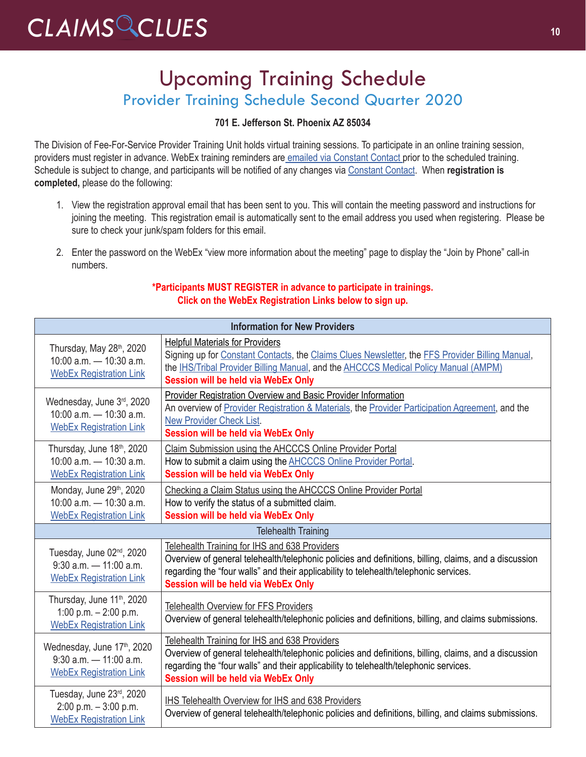### Upcoming Training Schedule Provider Training Schedule Second Quarter 2020

#### **701 E. Jefferson St. Phoenix AZ 85034**

The Division of Fee-For-Service Provider Training Unit holds virtual training sessions. To participate in an online training session, providers must register in advance. WebEx training reminders ar[e emailed via Constant Contact p](https://visitor.r20.constantcontact.com/manage/optin?v=001gF-kjPbNwUl4qTFXa25yg7PI-lJiYCg93XrtPtORBVs5LfBVH0-8vbcm12yD-2XXtSsqiYUBOmMmlkrI8ahm_2YiyBfBDlwfmRmEGrovUOSP6DcA-KbmT-Ql0Lmk0PExgqaWuvz6fV2kNwVjevvO11fbEYfxSl5MtPdTd_x0b-d44ezL3scdyI-S4QgYEsLUgwtSDvtSPxE%3D)rior to the scheduled training. Schedule is subject to change, and participants will be notified of any changes via [Constant Contact.](https://visitor.r20.constantcontact.com/manage/optin?v=001gF-kjPbNwUl4qTFXa25yg7PI-lJiYCg93XrtPtORBVs5LfBVH0-8vbcm12yD-2XXtSsqiYUBOmMmlkrI8ahm_2YiyBfBDlwfmRmEGrovUOSP6DcA-KbmT-Ql0Lmk0PExgqaWuvz6fV2kNwVjevvO11fbEYfxSl5MtPdTd_x0b-d44ezL3scdyI-S4QgYEsLUgwtSDvtSPxE%3D) When **registration is completed,** please do the following:

- 1. View the registration approval email that has been sent to you. This will contain the meeting password and instructions for joining the meeting. This registration email is automatically sent to the email address you used when registering. Please be sure to check your junk/spam folders for this email.
- 2. Enter the password on the WebEx "view more information about the meeting" page to display the "Join by Phone" call-in numbers.

#### **\*Participants MUST REGISTER in advance to participate in trainings. Click on the WebEx Registration Links below to sign up.**

| <b>Information for New Providers</b>                                                                   |                                                                                                                                                                                                                                                                                                      |
|--------------------------------------------------------------------------------------------------------|------------------------------------------------------------------------------------------------------------------------------------------------------------------------------------------------------------------------------------------------------------------------------------------------------|
| Thursday, May 28th, 2020<br>$10:00$ a.m. $-10:30$ a.m.<br><b>WebEx Registration Link</b>               | <b>Helpful Materials for Providers</b><br>Signing up for Constant Contacts, the Claims Clues Newsletter, the FFS Provider Billing Manual,<br>the IHS/Tribal Provider Billing Manual, and the AHCCCS Medical Policy Manual (AMPM)<br><b>Session will be held via WebEx Only</b>                       |
| Wednesday, June 3rd, 2020<br>$10:00$ a.m. $-10:30$ a.m.<br><b>WebEx Registration Link</b>              | Provider Registration Overview and Basic Provider Information<br>An overview of Provider Registration & Materials, the Provider Participation Agreement, and the<br><b>New Provider Check List.</b><br><b>Session will be held via WebEx Only</b>                                                    |
| Thursday, June 18th, 2020<br>$10:00$ a.m. $-10:30$ a.m.<br><b>WebEx Registration Link</b>              | Claim Submission using the AHCCCS Online Provider Portal<br>How to submit a claim using the <b>AHCCCS</b> Online Provider Portal.<br><b>Session will be held via WebEx Only</b>                                                                                                                      |
| Monday, June 29th, 2020<br>$10:00$ a.m. $-10:30$ a.m.<br><b>WebEx Registration Link</b>                | Checking a Claim Status using the AHCCCS Online Provider Portal<br>How to verify the status of a submitted claim.<br><b>Session will be held via WebEx Only</b>                                                                                                                                      |
| <b>Telehealth Training</b>                                                                             |                                                                                                                                                                                                                                                                                                      |
| Tuesday, June 02 <sup>nd</sup> , 2020<br>$9:30$ a.m. $-11:00$ a.m.<br><b>WebEx Registration Link</b>   | Telehealth Training for IHS and 638 Providers<br>Overview of general telehealth/telephonic policies and definitions, billing, claims, and a discussion<br>regarding the "four walls" and their applicability to telehealth/telephonic services.<br><b>Session will be held via WebEx Only</b>        |
| Thursday, June 11 <sup>th</sup> , 2020<br>1:00 p.m. $-$ 2:00 p.m.<br><b>WebEx Registration Link</b>    | <b>Telehealth Overview for FFS Providers</b><br>Overview of general telehealth/telephonic policies and definitions, billing, and claims submissions.                                                                                                                                                 |
| Wednesday, June 17 <sup>th</sup> , 2020<br>$9:30$ a.m. $-11:00$ a.m.<br><b>WebEx Registration Link</b> | <b>Telehealth Training for IHS and 638 Providers</b><br>Overview of general telehealth/telephonic policies and definitions, billing, claims, and a discussion<br>regarding the "four walls" and their applicability to telehealth/telephonic services.<br><b>Session will be held via WebEx Only</b> |
| Tuesday, June 23rd, 2020<br>2:00 p.m. - 3:00 p.m.<br><b>WebEx Registration Link</b>                    | IHS Telehealth Overview for IHS and 638 Providers<br>Overview of general telehealth/telephonic policies and definitions, billing, and claims submissions.                                                                                                                                            |